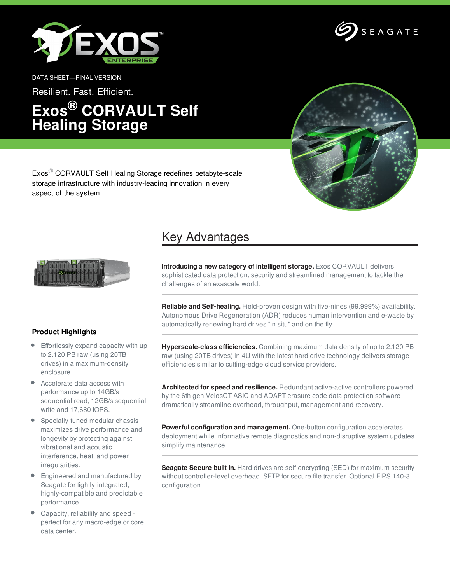



DATA SHEET—FINAL VERSION

Resilient. Fast. Efficient.

## **Exos® CORVAULT Self Healing Storage**



Exos® CORVAULT Self Healing Storage redefines petabyte-scale storage infrastructure with industry-leading innovation in every aspect of the system.

## Key Advantages



**Product Highlights**

- Effortlessly expand capacity with up to 2.120 PB raw (using 20TB drives) in a maximum-density enclosure.
- Accelerate data access with performance up to 14GB/s sequential read, 12GB/s sequential write and 17,680 IOPS.
- Specially-tuned modular chassis maximizes drive performance and longevity by protecting against vibrational and acoustic interference, heat, and power irregularities.
- Engineered and manufactured by Seagate for tightly-integrated, highly-compatible and predictable performance.
- Capacity, reliability and speed perfect for any macro-edge or core data center.

**Introducing a new category of intelligent storage.** Exos CORVAULT delivers sophisticated data protection, security and streamlined management to tackle the challenges of an exascale world.

**Reliable and Self-healing.** Field-proven design with five-nines (99.999%) availability. Autonomous Drive Regeneration (ADR) reduces human intervention and e-waste by automatically renewing hard drives "in situ" and on the fly.

**Hyperscale-class efficiencies.** Combining maximum data density of up to 2.120 PB raw (using 20TB drives) in 4U with the latest hard drive technology delivers storage efficiencies similar to cutting-edge cloud service providers.

**Architected for speed and resilience.** Redundant active-active controllers powered by the 6th gen VelosCT ASIC and ADAPT erasure code data protection software dramatically streamline overhead, throughput, management and recovery.

**Powerful configuration and management.** One-button configuration accelerates deployment while informative remote diagnostics and non-disruptive system updates simplify maintenance.

**Seagate Secure built in.** Hard drives are self-encrypting (SED) for maximum security without controller-level overhead. SFTP for secure file transfer. Optional FIPS 140-3 configuration.